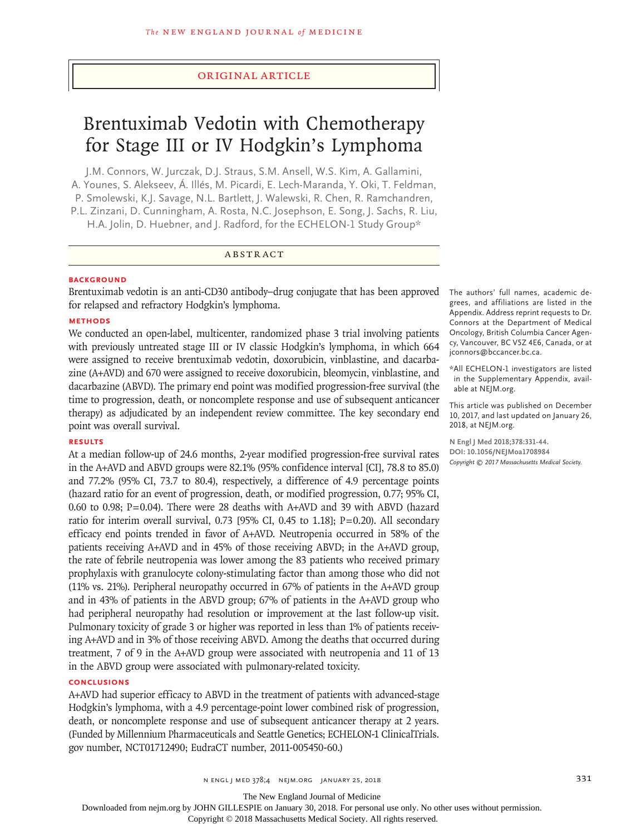#### Original Article

# Brentuximab Vedotin with Chemotherapy for Stage III or IV Hodgkin's Lymphoma

J.M. Connors, W. Jurczak, D.J. Straus, S.M. Ansell, W.S. Kim, A. Gallamini, A. Younes, S. Alekseev, Á. Illés, M. Picardi, E. Lech-Maranda, Y. Oki, T. Feldman, P. Smolewski, K.J. Savage, N.L. Bartlett, J. Walewski, R. Chen, R. Ramchandren, P.L. Zinzani, D. Cunningham, A. Rosta, N.C. Josephson, E. Song, J. Sachs, R. Liu, H.A. Jolin, D. Huebner, and J. Radford, for the ECHELON-1 Study Group\*

# ABSTRACT

#### **BACKGROUND**

Brentuximab vedotin is an anti-CD30 antibody–drug conjugate that has been approved for relapsed and refractory Hodgkin's lymphoma.

#### **METHODS**

We conducted an open-label, multicenter, randomized phase 3 trial involving patients with previously untreated stage III or IV classic Hodgkin's lymphoma, in which 664 were assigned to receive brentuximab vedotin, doxorubicin, vinblastine, and dacarbazine (A+AVD) and 670 were assigned to receive doxorubicin, bleomycin, vinblastine, and dacarbazine (ABVD). The primary end point was modified progression-free survival (the time to progression, death, or noncomplete response and use of subsequent anticancer therapy) as adjudicated by an independent review committee. The key secondary end point was overall survival.

#### **RESULTS**

At a median follow-up of 24.6 months, 2-year modified progression-free survival rates in the A+AVD and ABVD groups were 82.1% (95% confidence interval [CI], 78.8 to 85.0) and 77.2% (95% CI, 73.7 to 80.4), respectively, a difference of 4.9 percentage points (hazard ratio for an event of progression, death, or modified progression, 0.77; 95% CI, 0.60 to 0.98; P=0.04). There were 28 deaths with A+AVD and 39 with ABVD (hazard ratio for interim overall survival, 0.73 [95% CI, 0.45 to 1.18]; P=0.20). All secondary efficacy end points trended in favor of A+AVD. Neutropenia occurred in 58% of the patients receiving A+AVD and in 45% of those receiving ABVD; in the A+AVD group, the rate of febrile neutropenia was lower among the 83 patients who received primary prophylaxis with granulocyte colony-stimulating factor than among those who did not (11% vs. 21%). Peripheral neuropathy occurred in 67% of patients in the A+AVD group and in 43% of patients in the ABVD group; 67% of patients in the A+AVD group who had peripheral neuropathy had resolution or improvement at the last follow-up visit. Pulmonary toxicity of grade 3 or higher was reported in less than 1% of patients receiving A+AVD and in 3% of those receiving ABVD. Among the deaths that occurred during treatment, 7 of 9 in the A+AVD group were associated with neutropenia and 11 of 13 in the ABVD group were associated with pulmonary-related toxicity.

#### **CONCLUSIONS**

A+AVD had superior efficacy to ABVD in the treatment of patients with advanced-stage Hodgkin's lymphoma, with a 4.9 percentage-point lower combined risk of progression, death, or noncomplete response and use of subsequent anticancer therapy at 2 years. (Funded by Millennium Pharmaceuticals and Seattle Genetics; ECHELON-1 ClinicalTrials. gov number, NCT01712490; EudraCT number, 2011-005450-60.)

The authors' full names, academic degrees, and affiliations are listed in the Appendix. Address reprint requests to Dr. Connors at the Department of Medical Oncology, British Columbia Cancer Agency, Vancouver, BC V5Z 4E6, Canada, or at jconnors@bccancer.bc.ca.

\*All ECHELON-1 investigators are listed in the Supplementary Appendix, available at NEJM.org.

This article was published on December 10, 2017, and last updated on January 26, 2018, at NEJM.org.

**N Engl J Med 2018;378:331-44. DOI: 10.1056/NEJMoa1708984** *Copyright © 2017 Massachusetts Medical Society.*

The New England Journal of Medicine

Downloaded from nejm.org by JOHN GILLESPIE on January 30, 2018. For personal use only. No other uses without permission.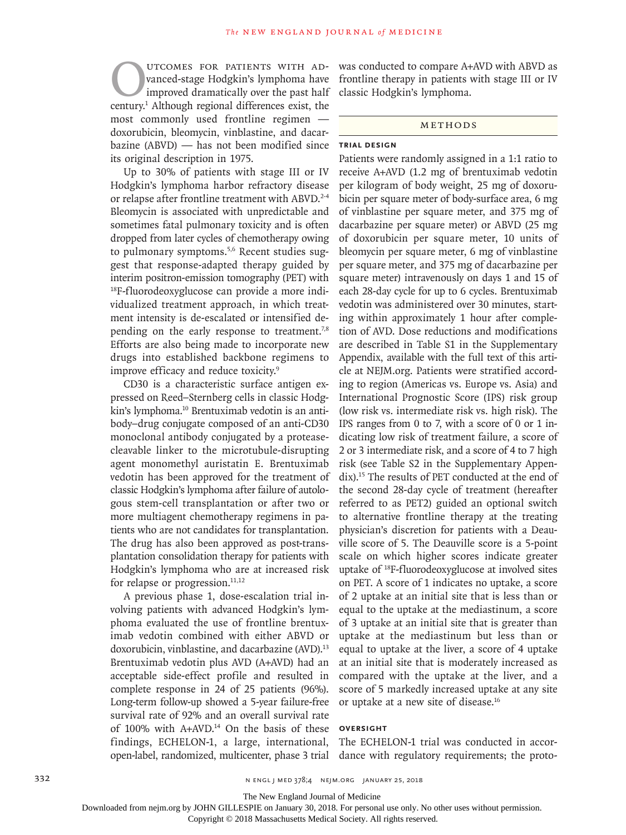**OUTCOMES FOR PATIENTS WITH AD-**<br>vanced-stage Hodgkin's lymphoma have<br>improved dramatically over the past half<br>century.<sup>1</sup> Although regional differences exist, the vanced-stage Hodgkin's lymphoma have improved dramatically over the past half century.1 Although regional differences exist, the most commonly used frontline regimen doxorubicin, bleomycin, vinblastine, and dacarbazine (ABVD) — has not been modified since its original description in 1975.

Up to 30% of patients with stage III or IV Hodgkin's lymphoma harbor refractory disease or relapse after frontline treatment with ABVD.<sup>2-4</sup> Bleomycin is associated with unpredictable and sometimes fatal pulmonary toxicity and is often dropped from later cycles of chemotherapy owing to pulmonary symptoms.<sup>5,6</sup> Recent studies suggest that response-adapted therapy guided by interim positron-emission tomography (PET) with 18F-fluorodeoxyglucose can provide a more individualized treatment approach, in which treatment intensity is de-escalated or intensified depending on the early response to treatment.<sup>7,8</sup> Efforts are also being made to incorporate new drugs into established backbone regimens to improve efficacy and reduce toxicity.<sup>9</sup>

CD30 is a characteristic surface antigen expressed on Reed–Sternberg cells in classic Hodgkin's lymphoma.<sup>10</sup> Brentuximab vedotin is an antibody–drug conjugate composed of an anti-CD30 monoclonal antibody conjugated by a proteasecleavable linker to the microtubule-disrupting agent monomethyl auristatin E. Brentuximab vedotin has been approved for the treatment of classic Hodgkin's lymphoma after failure of autologous stem-cell transplantation or after two or more multiagent chemotherapy regimens in patients who are not candidates for transplantation. The drug has also been approved as post-transplantation consolidation therapy for patients with Hodgkin's lymphoma who are at increased risk for relapse or progression. $11,12$ 

A previous phase 1, dose-escalation trial involving patients with advanced Hodgkin's lymphoma evaluated the use of frontline brentuximab vedotin combined with either ABVD or doxorubicin, vinblastine, and dacarbazine (AVD).<sup>13</sup> Brentuximab vedotin plus AVD (A+AVD) had an acceptable side-effect profile and resulted in complete response in 24 of 25 patients (96%). Long-term follow-up showed a 5-year failure-free survival rate of 92% and an overall survival rate of 100% with A+AVD.<sup>14</sup> On the basis of these findings, ECHELON-1, a large, international, open-label, randomized, multicenter, phase 3 trial

was conducted to compare A+AVD with ABVD as frontline therapy in patients with stage III or IV classic Hodgkin's lymphoma.

## Methods

## **Trial Design**

Patients were randomly assigned in a 1:1 ratio to receive A+AVD (1.2 mg of brentuximab vedotin per kilogram of body weight, 25 mg of doxorubicin per square meter of body-surface area, 6 mg of vinblastine per square meter, and 375 mg of dacarbazine per square meter) or ABVD (25 mg of doxorubicin per square meter, 10 units of bleomycin per square meter, 6 mg of vinblastine per square meter, and 375 mg of dacarbazine per square meter) intravenously on days 1 and 15 of each 28-day cycle for up to 6 cycles. Brentuximab vedotin was administered over 30 minutes, starting within approximately 1 hour after completion of AVD. Dose reductions and modifications are described in Table S1 in the Supplementary Appendix, available with the full text of this article at NEJM.org. Patients were stratified according to region (Americas vs. Europe vs. Asia) and International Prognostic Score (IPS) risk group (low risk vs. intermediate risk vs. high risk). The IPS ranges from 0 to 7, with a score of 0 or 1 indicating low risk of treatment failure, a score of 2 or 3 intermediate risk, and a score of 4 to 7 high risk (see Table S2 in the Supplementary Appendix).15 The results of PET conducted at the end of the second 28-day cycle of treatment (hereafter referred to as PET2) guided an optional switch to alternative frontline therapy at the treating physician's discretion for patients with a Deauville score of 5. The Deauville score is a 5-point scale on which higher scores indicate greater uptake of 18F-fluorodeoxyglucose at involved sites on PET. A score of 1 indicates no uptake, a score of 2 uptake at an initial site that is less than or equal to the uptake at the mediastinum, a score of 3 uptake at an initial site that is greater than uptake at the mediastinum but less than or equal to uptake at the liver, a score of 4 uptake at an initial site that is moderately increased as compared with the uptake at the liver, and a score of 5 markedly increased uptake at any site or uptake at a new site of disease.16

#### **OVERSIGHT**

The ECHELON-1 trial was conducted in accordance with regulatory requirements; the proto-

The New England Journal of Medicine

Downloaded from nejm.org by JOHN GILLESPIE on January 30, 2018. For personal use only. No other uses without permission.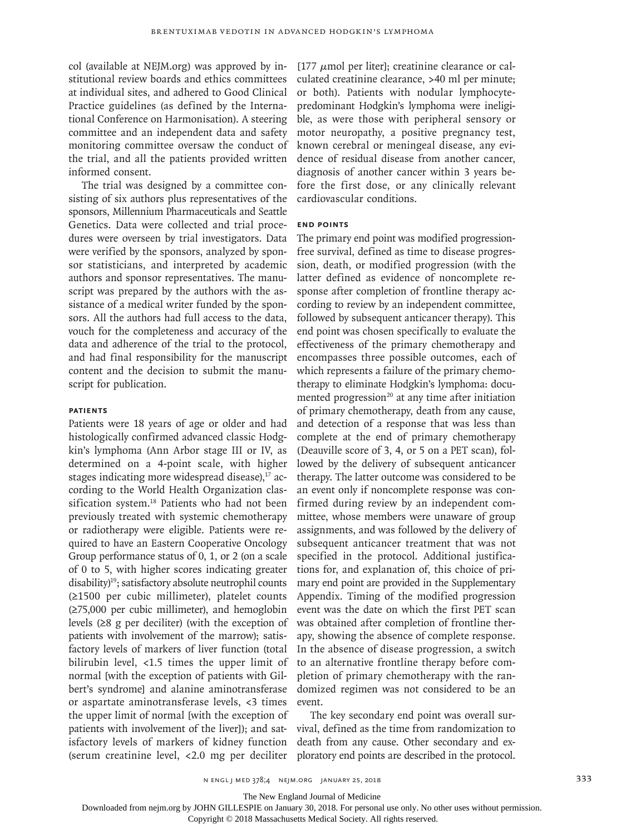col (available at NEJM.org) was approved by institutional review boards and ethics committees at individual sites, and adhered to Good Clinical Practice guidelines (as defined by the International Conference on Harmonisation). A steering committee and an independent data and safety monitoring committee oversaw the conduct of the trial, and all the patients provided written informed consent.

The trial was designed by a committee consisting of six authors plus representatives of the sponsors, Millennium Pharmaceuticals and Seattle Genetics. Data were collected and trial procedures were overseen by trial investigators. Data were verified by the sponsors, analyzed by sponsor statisticians, and interpreted by academic authors and sponsor representatives. The manuscript was prepared by the authors with the assistance of a medical writer funded by the sponsors. All the authors had full access to the data, vouch for the completeness and accuracy of the data and adherence of the trial to the protocol, and had final responsibility for the manuscript content and the decision to submit the manuscript for publication.

#### **Patients**

Patients were 18 years of age or older and had histologically confirmed advanced classic Hodgkin's lymphoma (Ann Arbor stage III or IV, as determined on a 4-point scale, with higher stages indicating more widespread disease),<sup>17</sup> according to the World Health Organization classification system.<sup>18</sup> Patients who had not been previously treated with systemic chemotherapy or radiotherapy were eligible. Patients were required to have an Eastern Cooperative Oncology Group performance status of 0, 1, or 2 (on a scale of 0 to 5, with higher scores indicating greater disability)<sup>19</sup>; satisfactory absolute neutrophil counts (≥1500 per cubic millimeter), platelet counts (≥75,000 per cubic millimeter), and hemoglobin levels (≥8 g per deciliter) (with the exception of patients with involvement of the marrow); satisfactory levels of markers of liver function (total bilirubin level, <1.5 times the upper limit of normal [with the exception of patients with Gilbert's syndrome] and alanine aminotransferase or aspartate aminotransferase levels, <3 times the upper limit of normal [with the exception of patients with involvement of the liver]); and satisfactory levels of markers of kidney function (serum creatinine level, <2.0 mg per deciliter

[177  $\mu$ mol per liter]; creatinine clearance or calculated creatinine clearance, >40 ml per minute; or both). Patients with nodular lymphocytepredominant Hodgkin's lymphoma were ineligible, as were those with peripheral sensory or motor neuropathy, a positive pregnancy test, known cerebral or meningeal disease, any evidence of residual disease from another cancer, diagnosis of another cancer within 3 years before the first dose, or any clinically relevant cardiovascular conditions.

## **End Points**

The primary end point was modified progressionfree survival, defined as time to disease progression, death, or modified progression (with the latter defined as evidence of noncomplete response after completion of frontline therapy according to review by an independent committee, followed by subsequent anticancer therapy). This end point was chosen specifically to evaluate the effectiveness of the primary chemotherapy and encompasses three possible outcomes, each of which represents a failure of the primary chemotherapy to eliminate Hodgkin's lymphoma: documented progression $20$  at any time after initiation of primary chemotherapy, death from any cause, and detection of a response that was less than complete at the end of primary chemotherapy (Deauville score of 3, 4, or 5 on a PET scan), followed by the delivery of subsequent anticancer therapy. The latter outcome was considered to be an event only if noncomplete response was confirmed during review by an independent committee, whose members were unaware of group assignments, and was followed by the delivery of subsequent anticancer treatment that was not specified in the protocol. Additional justifications for, and explanation of, this choice of primary end point are provided in the Supplementary Appendix. Timing of the modified progression event was the date on which the first PET scan was obtained after completion of frontline therapy, showing the absence of complete response. In the absence of disease progression, a switch to an alternative frontline therapy before completion of primary chemotherapy with the randomized regimen was not considered to be an event.

The key secondary end point was overall survival, defined as the time from randomization to death from any cause. Other secondary and exploratory end points are described in the protocol.

The New England Journal of Medicine

Downloaded from nejm.org by JOHN GILLESPIE on January 30, 2018. For personal use only. No other uses without permission.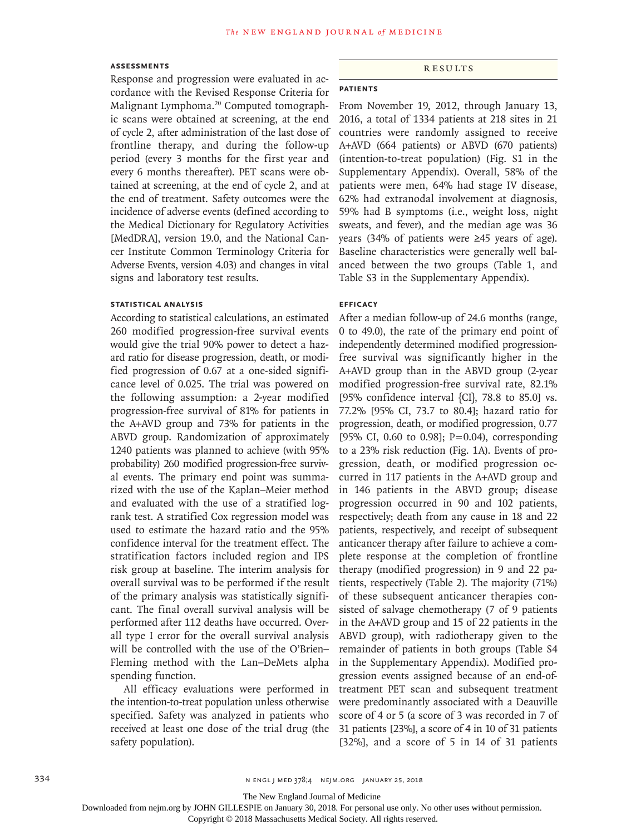#### **Assessments**

Response and progression were evaluated in accordance with the Revised Response Criteria for Malignant Lymphoma.20 Computed tomographic scans were obtained at screening, at the end of cycle 2, after administration of the last dose of frontline therapy, and during the follow-up period (every 3 months for the first year and every 6 months thereafter). PET scans were obtained at screening, at the end of cycle 2, and at the end of treatment. Safety outcomes were the incidence of adverse events (defined according to the Medical Dictionary for Regulatory Activities [MedDRA], version 19.0, and the National Cancer Institute Common Terminology Criteria for Adverse Events, version 4.03) and changes in vital signs and laboratory test results.

#### **Statistical Analysis**

According to statistical calculations, an estimated 260 modified progression-free survival events would give the trial 90% power to detect a hazard ratio for disease progression, death, or modified progression of 0.67 at a one-sided significance level of 0.025. The trial was powered on the following assumption: a 2-year modified progression-free survival of 81% for patients in the A+AVD group and 73% for patients in the ABVD group. Randomization of approximately 1240 patients was planned to achieve (with 95% probability) 260 modified progression-free survival events. The primary end point was summarized with the use of the Kaplan–Meier method and evaluated with the use of a stratified logrank test. A stratified Cox regression model was used to estimate the hazard ratio and the 95% confidence interval for the treatment effect. The stratification factors included region and IPS risk group at baseline. The interim analysis for overall survival was to be performed if the result of the primary analysis was statistically significant. The final overall survival analysis will be performed after 112 deaths have occurred. Overall type I error for the overall survival analysis will be controlled with the use of the O'Brien– Fleming method with the Lan–DeMets alpha spending function.

All efficacy evaluations were performed in the intention-to-treat population unless otherwise specified. Safety was analyzed in patients who received at least one dose of the trial drug (the safety population).

#### Results

#### **Patients**

From November 19, 2012, through January 13, 2016, a total of 1334 patients at 218 sites in 21 countries were randomly assigned to receive A+AVD (664 patients) or ABVD (670 patients) (intention-to-treat population) (Fig. S1 in the Supplementary Appendix). Overall, 58% of the patients were men, 64% had stage IV disease, 62% had extranodal involvement at diagnosis, 59% had B symptoms (i.e., weight loss, night sweats, and fever), and the median age was 36 years (34% of patients were ≥45 years of age). Baseline characteristics were generally well balanced between the two groups (Table 1, and Table S3 in the Supplementary Appendix).

#### **Efficacy**

After a median follow-up of 24.6 months (range, 0 to 49.0), the rate of the primary end point of independently determined modified progressionfree survival was significantly higher in the A+AVD group than in the ABVD group (2-year modified progression-free survival rate, 82.1% [95% confidence interval {CI}, 78.8 to 85.0] vs. 77.2% [95% CI, 73.7 to 80.4]; hazard ratio for progression, death, or modified progression, 0.77 [95% CI, 0.60 to 0.98]; P=0.04), corresponding to a 23% risk reduction (Fig. 1A). Events of progression, death, or modified progression occurred in 117 patients in the A+AVD group and in 146 patients in the ABVD group; disease progression occurred in 90 and 102 patients, respectively; death from any cause in 18 and 22 patients, respectively, and receipt of subsequent anticancer therapy after failure to achieve a complete response at the completion of frontline therapy (modified progression) in 9 and 22 patients, respectively (Table 2). The majority (71%) of these subsequent anticancer therapies consisted of salvage chemotherapy (7 of 9 patients in the A+AVD group and 15 of 22 patients in the ABVD group), with radiotherapy given to the remainder of patients in both groups (Table S4 in the Supplementary Appendix). Modified progression events assigned because of an end-oftreatment PET scan and subsequent treatment were predominantly associated with a Deauville score of 4 or 5 (a score of 3 was recorded in 7 of 31 patients [23%], a score of 4 in 10 of 31 patients [32%], and a score of 5 in 14 of 31 patients

The New England Journal of Medicine

Downloaded from nejm.org by JOHN GILLESPIE on January 30, 2018. For personal use only. No other uses without permission.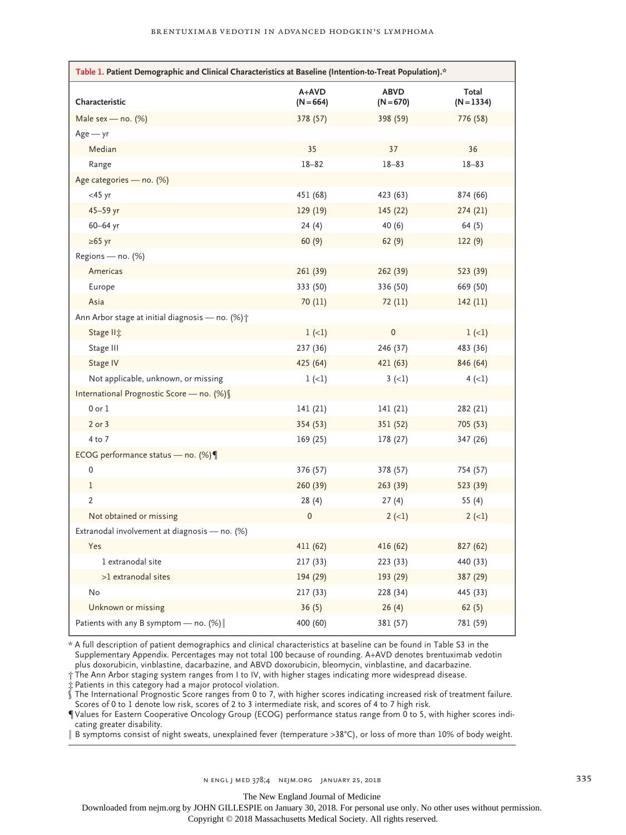| *.Table 1. Patient Demographic and Clinical Characteristics at Baseline (Intention-to-Treat Population) |                      |                            |                       |  |  |
|---------------------------------------------------------------------------------------------------------|----------------------|----------------------------|-----------------------|--|--|
| Characteristic                                                                                          | A+AVD<br>$(N = 664)$ | <b>ABVD</b><br>$(N = 670)$ | Total<br>$(N = 1334)$ |  |  |
| Male sex — no. $(\%)$                                                                                   | 378 (57)             | 398 (59)                   | 776 (58)              |  |  |
| $Age - yr$                                                                                              |                      |                            |                       |  |  |
| Median                                                                                                  | 35                   | 37                         | 36                    |  |  |
| Range                                                                                                   | $18 - 82$            | $18 - 83$                  | $18 - 83$             |  |  |
| Age categories - no. (%)                                                                                |                      |                            |                       |  |  |
| $<$ 45 yr                                                                                               | 451 (68)             | 423 (63)                   | 874 (66)              |  |  |
| 45-59 yr                                                                                                | 129 (19)             | 145 (22)                   | 274 (21)              |  |  |
| 60-64 yr                                                                                                | 24(4)                | 40 (6)                     | 64 (5)                |  |  |
| $\geq 65$ yr                                                                                            | 60(9)                | 62(9)                      | 122(9)                |  |  |
| Regions - no. (%)                                                                                       |                      |                            |                       |  |  |
| Americas                                                                                                | 261 (39)             | 262(39)                    | 523 (39)              |  |  |
| Europe                                                                                                  | 333 (50)             | 336 (50)                   | 669 (50)              |  |  |
| Asia                                                                                                    | 70 (11)              | 72 (11)                    | 142 (11)              |  |  |
| Ann Arbor stage at initial diagnosis — no. $(\%)\uparrow$                                               |                      |                            |                       |  |  |
| Stage II <sup>t</sup>                                                                                   | $1 (-1)$             | 0                          | $1 (-1)$              |  |  |
| Stage III                                                                                               | 237 (36)             | 246 (37)                   | 483 (36)              |  |  |
| Stage IV                                                                                                | 425 (64)             | 421 (63)                   | 846 (64)              |  |  |
| Not applicable, unknown, or missing                                                                     | $1 (-1)$             | $3(-1)$                    | $4 (-1)$              |  |  |
| International Prognostic Score - no. (%) §                                                              |                      |                            |                       |  |  |
| $0$ or $1$                                                                                              | 141 (21)             | 141 (21)                   | 282 (21)              |  |  |
| 2 or 3                                                                                                  | 354 (53)             | 351 (52)                   | 705 (53)              |  |  |
| 4 to 7                                                                                                  | 169 (25)             | 178 (27)                   | 347 (26)              |  |  |
| ECOG performance status — no. $(\%) \P$                                                                 |                      |                            |                       |  |  |
| 0                                                                                                       | 376 (57)             | 378 (57)                   | 754 (57)              |  |  |
| $\mathbf 1$                                                                                             | 260 (39)             | 263 (39)                   | 523 (39)              |  |  |
| $\overline{2}$                                                                                          | 28(4)                | 27(4)                      | 55 (4)                |  |  |
| Not obtained or missing                                                                                 | $\pmb{0}$            | $2 (-1)$                   | $2(-1)$               |  |  |
| Extranodal involvement at diagnosis — no. (%)                                                           |                      |                            |                       |  |  |
| Yes                                                                                                     | 411 (62)             | 416 (62)                   | 827 (62)              |  |  |
| 1 extranodal site                                                                                       | 217 (33)             | 223 (33)                   | 440 (33)              |  |  |
| >1 extranodal sites                                                                                     | 194 (29)             | 193 (29)                   | 387 (29)              |  |  |
| No                                                                                                      | 217 (33)             | 228 (34)                   | 445 (33)              |  |  |
| Unknown or missing                                                                                      | 36(5)                | 26(4)                      | 62(5)                 |  |  |
| Patients with any B symptom - no. $(\%)$                                                                | 400 (60)             | 381 (57)                   | 781 (59)              |  |  |

\* A full description of patient demographics and clinical characteristics at baseline can be found in Table S3 in the Supplementary Appendix. Percentages may not total 100 because of rounding. A+AVD denotes brentuximab vedotin plus doxorubicin, vinblastine, dacarbazine, and ABVD doxorubicin, bleomycin, vinblastine, and dacarbazine.

‡ Patients in this category had a major protocol violation.

§ The International Prognostic Score ranges from 0 to 7, with higher scores indicating increased risk of treatment failure. Scores of 0 to 1 denote low risk, scores of 2 to 3 intermediate risk, and scores of 4 to 7 high risk.

 $\P$ Values for Eastern Cooperative Oncology Group (ECOG) performance status range from  $\breve{0}$  to 5, with higher scores indicating greater disability.

‖ B symptoms consist of night sweats, unexplained fever (temperature >38°C), or loss of more than 10% of body weight.

The New England Journal of Medicine

Downloaded from nejm.org by JOHN GILLESPIE on January 30, 2018. For personal use only. No other uses without permission.

<sup>†</sup> The Ann Arbor staging system ranges from I to IV, with higher stages indicating more widespread disease.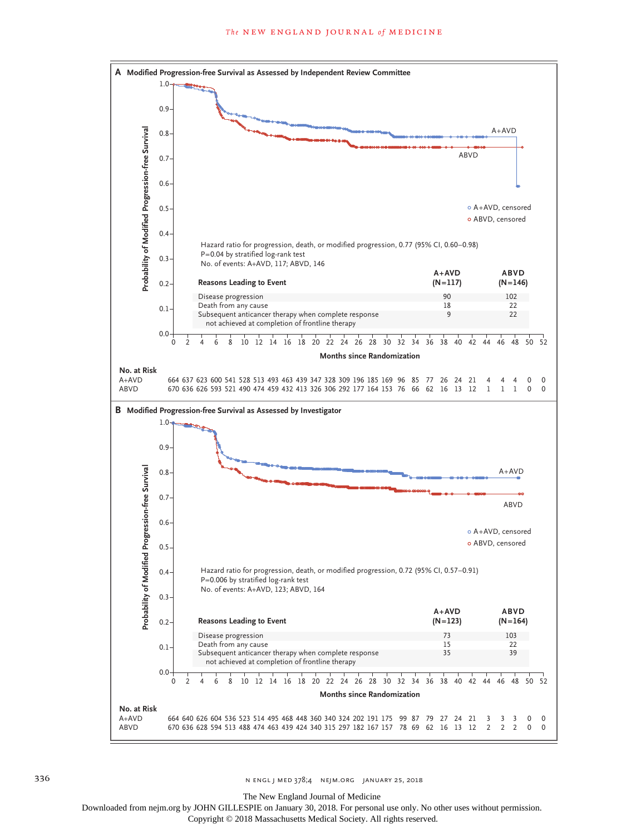

The New England Journal of Medicine

Downloaded from nejm.org by JOHN GILLESPIE on January 30, 2018. For personal use only. No other uses without permission.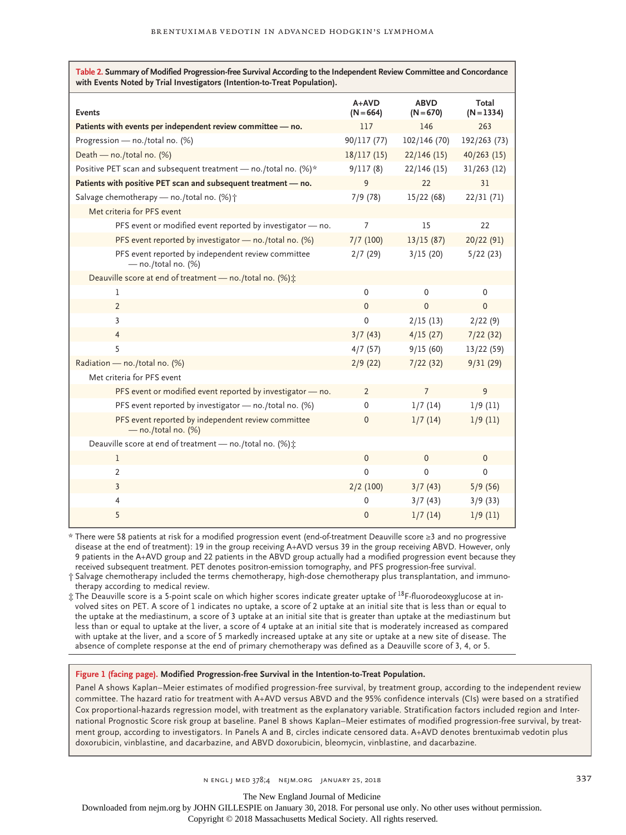| Table 2. Summary of Modified Progression-free Survival According to the Independent Review Committee and Concordance<br>with Events Noted by Trial Investigators (Intention-to-Treat Population). |                        |                            |                       |  |  |
|---------------------------------------------------------------------------------------------------------------------------------------------------------------------------------------------------|------------------------|----------------------------|-----------------------|--|--|
| <b>Events</b>                                                                                                                                                                                     | $A+AVD$<br>$(N = 664)$ | <b>ABVD</b><br>$(N = 670)$ | Total<br>$(N = 1334)$ |  |  |
| Patients with events per independent review committee - no.                                                                                                                                       | 117                    | 146                        | 263                   |  |  |
| Progression - no./total no. (%)                                                                                                                                                                   | 90/117 (77)            | 102/146 (70)               | 192/263 (73)          |  |  |
| Death - no./total no. (%)                                                                                                                                                                         | 18/117(15)             | 22/146(15)                 | $40/263$ (15)         |  |  |
| Positive PET scan and subsequent treatment - no./total no. (%)*                                                                                                                                   | 9/117(8)               | 22/146(15)                 | 31/263 (12)           |  |  |
| Patients with positive PET scan and subsequent treatment - no.                                                                                                                                    | 9                      | 22                         | 31                    |  |  |
| Salvage chemotherapy - no./total no. (%) +                                                                                                                                                        | 7/9(78)                | 15/22 (68)                 | 22/31 (71)            |  |  |
| Met criteria for PFS event                                                                                                                                                                        |                        |                            |                       |  |  |
| PFS event or modified event reported by investigator - no.                                                                                                                                        | $\overline{7}$         | 15                         | 22                    |  |  |
| PFS event reported by investigator - no./total no. (%)                                                                                                                                            | 7/7 (100)              | 13/15(87)                  | 20/22 (91)            |  |  |
| PFS event reported by independent review committee<br>$-$ no./total no. (%)                                                                                                                       | 2/7(29)                | 3/15(20)                   | 5/22(23)              |  |  |
| Deauville score at end of treatment - no./total no. (%) ±                                                                                                                                         |                        |                            |                       |  |  |
| 1                                                                                                                                                                                                 | 0                      | 0                          | $\mathbf 0$           |  |  |
| $\overline{2}$                                                                                                                                                                                    | $\mathbf 0$            | $\overline{0}$             | $\Omega$              |  |  |
| 3                                                                                                                                                                                                 | $\mathbf{0}$           | 2/15(13)                   | 2/22(9)               |  |  |
| $\overline{4}$                                                                                                                                                                                    | 3/7(43)                | 4/15(27)                   | 7/22(32)              |  |  |
| 5                                                                                                                                                                                                 | 4/7(57)                | 9/15(60)                   | 13/22 (59)            |  |  |
| Radiation - no./total no. (%)                                                                                                                                                                     | 2/9(22)                | 7/22(32)                   | 9/31(29)              |  |  |
| Met criteria for PFS event                                                                                                                                                                        |                        |                            |                       |  |  |
| PFS event or modified event reported by investigator - no.                                                                                                                                        | $\overline{2}$         | $\overline{7}$             | 9                     |  |  |
| PFS event reported by investigator - no./total no. (%)                                                                                                                                            | $\Omega$               | 1/7(14)                    | 1/9(11)               |  |  |
| PFS event reported by independent review committee<br>$-$ no./total no. (%)                                                                                                                       | 0                      | 1/7(14)                    | 1/9(11)               |  |  |
| Deauville score at end of treatment - no./total no. (%) ±                                                                                                                                         |                        |                            |                       |  |  |
| 1                                                                                                                                                                                                 | $\mathbf{0}$           | $\mathbf{0}$               | $\mathbf 0$           |  |  |
| $\overline{2}$                                                                                                                                                                                    | 0                      | 0                          | $\mathbf 0$           |  |  |
| 3                                                                                                                                                                                                 | $2/2$ (100)            | 3/7(43)                    | 5/9(56)               |  |  |
| 4                                                                                                                                                                                                 | $\mathbf 0$            | 3/7(43)                    | 3/9(33)               |  |  |
| 5                                                                                                                                                                                                 | 0                      | 1/7(14)                    | 1/9(11)               |  |  |

\* There were 58 patients at risk for a modified progression event (end-of-treatment Deauville score ≥3 and no progressive disease at the end of treatment): 19 in the group receiving A+AVD versus 39 in the group receiving ABVD. However, only 9 patients in the A+AVD group and 22 patients in the ABVD group actually had a modified progression event because they received subsequent treatment. PET denotes positron-emission tomography, and PFS progression-free survival.

† Salvage chemotherapy included the terms chemotherapy, high-dose chemotherapy plus transplantation, and immunotherapy according to medical review.

 $\pm$  The Deauville score is a 5-point scale on which higher scores indicate greater uptake of <sup>18</sup>F-fluorodeoxyglucose at involved sites on PET. A score of 1 indicates no uptake, a score of 2 uptake at an initial site that is less than or equal to the uptake at the mediastinum, a score of 3 uptake at an initial site that is greater than uptake at the mediastinum but less than or equal to uptake at the liver, a score of 4 uptake at an initial site that is moderately increased as compared with uptake at the liver, and a score of 5 markedly increased uptake at any site or uptake at a new site of disease. The absence of complete response at the end of primary chemotherapy was defined as a Deauville score of 3, 4, or 5.

#### **Figure 1 (facing page). Modified Progression-free Survival in the Intention-to-Treat Population.**

Panel A shows Kaplan–Meier estimates of modified progression-free survival, by treatment group, according to the independent review committee. The hazard ratio for treatment with A+AVD versus ABVD and the 95% confidence intervals (CIs) were based on a stratified Cox proportional-hazards regression model, with treatment as the explanatory variable. Stratification factors included region and International Prognostic Score risk group at baseline. Panel B shows Kaplan–Meier estimates of modified progression-free survival, by treatment group, according to investigators. In Panels A and B, circles indicate censored data. A+AVD denotes brentuximab vedotin plus doxorubicin, vinblastine, and dacarbazine, and ABVD doxorubicin, bleomycin, vinblastine, and dacarbazine.

n engl j med 378;4 nejm.org January 25, 2018 337

The New England Journal of Medicine

Downloaded from nejm.org by JOHN GILLESPIE on January 30, 2018. For personal use only. No other uses without permission.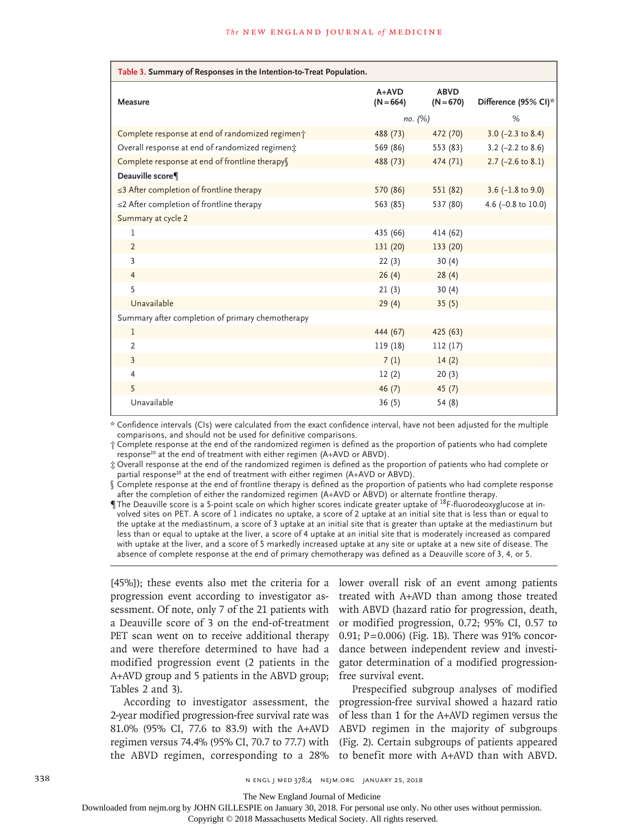| Table 3. Summary of Responses in the Intention-to-Treat Population. |                        |                            |                       |
|---------------------------------------------------------------------|------------------------|----------------------------|-----------------------|
| <b>Measure</b>                                                      | $A+AVD$<br>$(N = 664)$ | <b>ABVD</b><br>$(N = 670)$ | Difference (95% CI)*  |
|                                                                     | no. (%)                |                            | %                     |
| Complete response at end of randomized regiment                     | 488 (73)               | 472 (70)                   | $3.0$ (-2.3 to 8.4)   |
| Overall response at end of randomized regiment                      | 569 (86)               | 553 (83)                   | $3.2$ (-2.2 to 8.6)   |
| Complete response at end of frontline therapys                      | 488 (73)               | 474 (71)                   | $2.7$ (-2.6 to 8.1)   |
| Deauville score¶                                                    |                        |                            |                       |
| $\leq$ 3 After completion of frontline therapy                      | 570 (86)               | 551 (82)                   | $3.6$ (-1.8 to 9.0)   |
| $\leq$ 2 After completion of frontline therapy                      | 563 (85)               | 537 (80)                   | 4.6 ( $-0.8$ to 10.0) |
| Summary at cycle 2                                                  |                        |                            |                       |
| 1                                                                   | 435 (66)               | 414 (62)                   |                       |
| $\overline{2}$                                                      | 131 (20)               | 133 (20)                   |                       |
| 3                                                                   | 22(3)                  | 30(4)                      |                       |
| $\overline{4}$                                                      | 26(4)                  | 28(4)                      |                       |
| 5                                                                   | 21(3)                  | 30(4)                      |                       |
| Unavailable                                                         | 29(4)                  | 35(5)                      |                       |
| Summary after completion of primary chemotherapy                    |                        |                            |                       |
| $\mathbf{1}$                                                        | 444 (67)               | 425(63)                    |                       |
| $\overline{2}$                                                      | 119 (18)               | 112(17)                    |                       |
| $\overline{3}$                                                      | 7(1)                   | 14(2)                      |                       |
| $\overline{4}$                                                      | 12(2)                  | 20(3)                      |                       |
| 5                                                                   | 46(7)                  | 45(7)                      |                       |
| Unavailable                                                         | 36(5)                  | 54(8)                      |                       |

\* Confidence intervals (CIs) were calculated from the exact confidence interval, have not been adjusted for the multiple comparisons, and should not be used for definitive comparisons.

† Complete response at the end of the randomized regimen is defined as the proportion of patients who had complete response<sup>20</sup> at the end of treatment with either regimen (A+AVD or ABVD).

‡ Overall response at the end of the randomized regimen is defined as the proportion of patients who had complete or partial response<sup>20</sup> at the end of treatment with either regimen (A+AVD or ABVD).

§ Complete response at the end of frontline therapy is defined as the proportion of patients who had complete response after the completion of either the randomized regimen (A+AVD or ABVD) or alternate frontline therapy.

The Deauville score is a 5-point scale on which higher scores indicate greater uptake of  $^{18}F$ -fluorodeoxyglucose at involved sites on PET. A score of 1 indicates no uptake, a score of 2 uptake at an initial site that is less than or equal to the uptake at the mediastinum, a score of 3 uptake at an initial site that is greater than uptake at the mediastinum but less than or equal to uptake at the liver, a score of 4 uptake at an initial site that is moderately increased as compared with uptake at the liver, and a score of 5 markedly increased uptake at any site or uptake at a new site of disease. The absence of complete response at the end of primary chemotherapy was defined as a Deauville score of 3, 4, or 5.

[45%]); these events also met the criteria for a progression event according to investigator assessment. Of note, only 7 of the 21 patients with a Deauville score of 3 on the end-of-treatment PET scan went on to receive additional therapy and were therefore determined to have had a modified progression event (2 patients in the A+AVD group and 5 patients in the ABVD group; Tables 2 and 3).

According to investigator assessment, the 2-year modified progression-free survival rate was 81.0% (95% CI, 77.6 to 83.9) with the A+AVD regimen versus 74.4% (95% CI, 70.7 to 77.7) with the ABVD regimen, corresponding to a 28%

lower overall risk of an event among patients treated with A+AVD than among those treated with ABVD (hazard ratio for progression, death, or modified progression, 0.72; 95% CI, 0.57 to 0.91; P=0.006) (Fig. 1B). There was 91% concordance between independent review and investigator determination of a modified progressionfree survival event.

Prespecified subgroup analyses of modified progression-free survival showed a hazard ratio of less than 1 for the A+AVD regimen versus the ABVD regimen in the majority of subgroups (Fig. 2). Certain subgroups of patients appeared to benefit more with A+AVD than with ABVD.

338 **338** N ENGL J MED 378;4 NEJM.ORG JANUARY 25, 2018

The New England Journal of Medicine

Downloaded from nejm.org by JOHN GILLESPIE on January 30, 2018. For personal use only. No other uses without permission.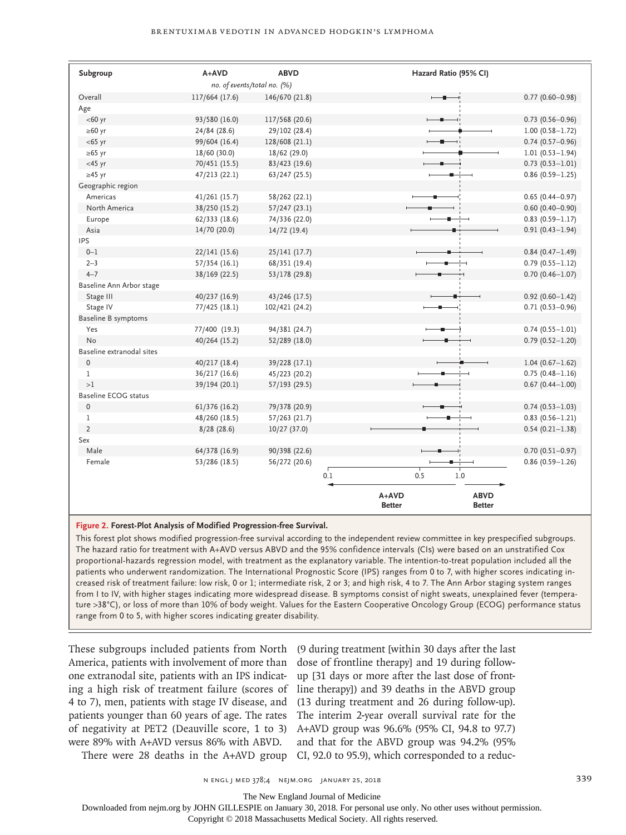| Subgroup                   | $A+AVD$                     | <b>ABVD</b>    |     | Hazard Ratio (95% CI)    |                              |                     |
|----------------------------|-----------------------------|----------------|-----|--------------------------|------------------------------|---------------------|
|                            | no. of events/total no. (%) |                |     |                          |                              |                     |
| Overall                    | 117/664 (17.6)              | 146/670 (21.8) |     | $-$                      |                              | $0.77(0.60 - 0.98)$ |
| Age                        |                             |                |     |                          |                              |                     |
| $<$ 60 yr                  | 93/580 (16.0)               | 117/568 (20.6) |     |                          |                              | $0.73(0.56 - 0.96)$ |
| $\geq 60$ yr               | 24/84 (28.6)                | 29/102 (28.4)  |     |                          |                              | $1.00(0.58 - 1.72)$ |
| $<$ 65 yr                  | 99/604 (16.4)               | 128/608 (21.1) |     |                          |                              | $0.74(0.57-0.96)$   |
| $\geq 65$ yr               | 18/60 (30.0)                | 18/62 (29.0)   |     |                          |                              | $1.01(0.53 - 1.94)$ |
| $<$ 45 yr                  | 70/451 (15.5)               | 83/423 (19.6)  |     |                          |                              | $0.73(0.53 - 1.01)$ |
| $\geq$ 45 yr               | 47/213(22.1)                | 63/247 (25.5)  |     |                          |                              | $0.86(0.59 - 1.25)$ |
| Geographic region          |                             |                |     |                          |                              |                     |
| Americas                   | 41/261 (15.7)               | 58/262 (22.1)  |     |                          |                              | $0.65(0.44 - 0.97)$ |
| North America              | 38/250 (15.2)               | 57/247(23.1)   |     |                          |                              | $0.60(0.40 - 0.90)$ |
| Europe                     | 62/333(18.6)                | 74/336 (22.0)  |     |                          |                              | $0.83$ (0.59-1.17)  |
| Asia                       | 14/70 (20.0)                | 14/72(19.4)    |     |                          |                              | $0.91(0.43 - 1.94)$ |
| IPS                        |                             |                |     |                          |                              |                     |
| $0 - 1$                    | 22/141(15.6)                | 25/141(17.7)   |     |                          |                              | $0.84(0.47 - 1.49)$ |
| $2 - 3$                    | 57/354 (16.1)               | 68/351 (19.4)  |     |                          |                              | $0.79(0.55 - 1.12)$ |
| $4 - 7$                    | 38/169 (22.5)               | 53/178 (29.8)  |     |                          |                              | $0.70(0.46 - 1.07)$ |
| Baseline Ann Arbor stage   |                             |                |     |                          |                              |                     |
| Stage III                  | 40/237 (16.9)               | 43/246 (17.5)  |     |                          |                              | $0.92(0.60 - 1.42)$ |
| Stage IV                   | 77/425 (18.1)               | 102/421 (24.2) |     |                          |                              | $0.71(0.53 - 0.96)$ |
| <b>Baseline B symptoms</b> |                             |                |     |                          |                              |                     |
| Yes                        | 77/400 (19.3)               | 94/381 (24.7)  |     |                          |                              | $0.74(0.55 - 1.01)$ |
| N <sub>o</sub>             | 40/264 (15.2)               | 52/289 (18.0)  |     |                          |                              | $0.79(0.52 - 1.20)$ |
| Baseline extranodal sites  |                             |                |     |                          |                              |                     |
| $\mathbf 0$                | 40/217 (18.4)               | 39/228 (17.1)  |     |                          |                              | $1.04(0.67 - 1.62)$ |
| $\mathbf{1}$               | 36/217 (16.6)               | 45/223 (20.2)  |     |                          |                              | $0.75(0.48 - 1.16)$ |
| >1                         | 39/194 (20.1)               | 57/193 (29.5)  |     |                          |                              | $0.67(0.44 - 1.00)$ |
| Baseline ECOG status       |                             |                |     |                          |                              |                     |
| $\pmb{0}$                  | 61/376 (16.2)               | 79/378 (20.9)  |     |                          |                              | $0.74(0.53 - 1.03)$ |
| $\mathbf{1}$               | 48/260 (18.5)               | 57/263 (21.7)  |     |                          |                              | $0.83(0.56 - 1.21)$ |
| $\overline{2}$             | 8/28(28.6)                  | 10/27(37.0)    |     |                          |                              | $0.54(0.21 - 1.38)$ |
| Sex                        |                             |                |     |                          |                              |                     |
| Male                       | 64/378 (16.9)               | 90/398 (22.6)  |     |                          |                              | $0.70(0.51 - 0.97)$ |
| Female                     | 53/286 (18.5)               | 56/272 (20.6)  |     |                          |                              | $0.86(0.59 - 1.26)$ |
|                            |                             |                | 0.1 | 0.5                      | 1.0                          |                     |
|                            |                             |                |     |                          |                              |                     |
|                            |                             |                |     | $A+AVD$<br><b>Better</b> | <b>ABVD</b><br><b>Better</b> |                     |

#### **Figure 2. Forest-Plot Analysis of Modified Progression-free Survival.**

This forest plot shows modified progression-free survival according to the independent review committee in key prespecified subgroups. The hazard ratio for treatment with A+AVD versus ABVD and the 95% confidence intervals (CIs) were based on an unstratified Cox proportional-hazards regression model, with treatment as the explanatory variable. The intention-to-treat population included all the patients who underwent randomization. The International Prognostic Score (IPS) ranges from 0 to 7, with higher scores indicating increased risk of treatment failure: low risk, 0 or 1; intermediate risk, 2 or 3; and high risk, 4 to 7. The Ann Arbor staging system ranges from I to IV, with higher stages indicating more widespread disease. B symptoms consist of night sweats, unexplained fever (temperature >38°C), or loss of more than 10% of body weight. Values for the Eastern Cooperative Oncology Group (ECOG) performance status range from 0 to 5, with higher scores indicating greater disability.

These subgroups included patients from North (9 during treatment [within 30 days after the last America, patients with involvement of more than dose of frontline therapy] and 19 during followone extranodal site, patients with an IPS indicat-up [31 days or more after the last dose of fronting a high risk of treatment failure (scores of line therapy]) and 39 deaths in the ABVD group 4 to 7), men, patients with stage IV disease, and (13 during treatment and 26 during follow-up). patients younger than 60 years of age. The rates The interim 2-year overall survival rate for the of negativity at PET2 (Deauville score, 1 to 3) A+AVD group was 96.6% (95% CI, 94.8 to 97.7) were 89% with A+AVD versus 86% with ABVD.

There were 28 deaths in the A+AVD group CI, 92.0 to 95.9), which corresponded to a reducand that for the ABVD group was 94.2% (95%

n engl j med 378;4 nejm.org January 25, 2018 339

The New England Journal of Medicine

Downloaded from nejm.org by JOHN GILLESPIE on January 30, 2018. For personal use only. No other uses without permission.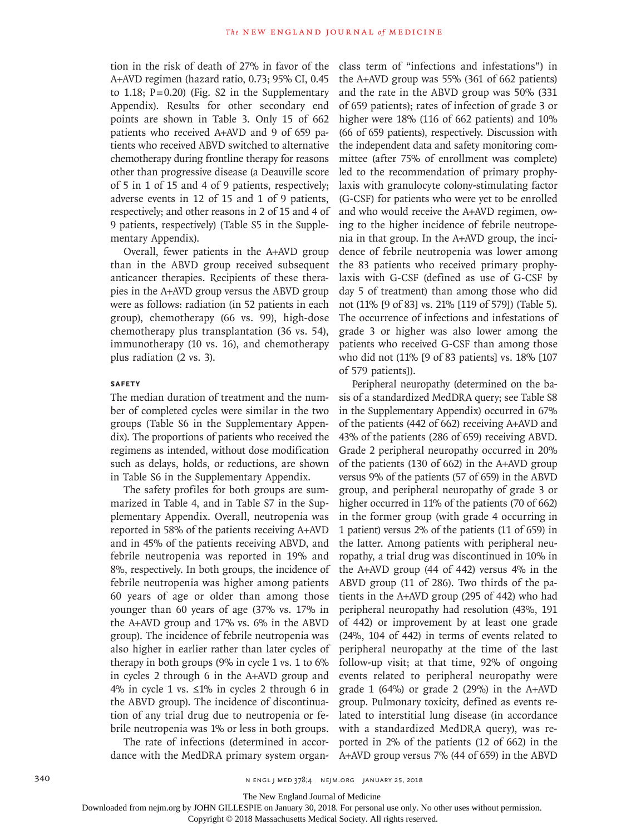tion in the risk of death of 27% in favor of the A+AVD regimen (hazard ratio, 0.73; 95% CI, 0.45 to 1.18;  $P=0.20$ ) (Fig. S2 in the Supplementary Appendix). Results for other secondary end points are shown in Table 3. Only 15 of 662 patients who received A+AVD and 9 of 659 patients who received ABVD switched to alternative chemotherapy during frontline therapy for reasons other than progressive disease (a Deauville score of 5 in 1 of 15 and 4 of 9 patients, respectively; adverse events in 12 of 15 and 1 of 9 patients, respectively; and other reasons in 2 of 15 and 4 of 9 patients, respectively) (Table S5 in the Supplementary Appendix).

Overall, fewer patients in the A+AVD group than in the ABVD group received subsequent anticancer therapies. Recipients of these therapies in the A+AVD group versus the ABVD group were as follows: radiation (in 52 patients in each group), chemotherapy (66 vs. 99), high-dose chemotherapy plus transplantation (36 vs. 54), immunotherapy (10 vs. 16), and chemotherapy plus radiation (2 vs. 3).

#### **Safety**

The median duration of treatment and the number of completed cycles were similar in the two groups (Table S6 in the Supplementary Appendix). The proportions of patients who received the regimens as intended, without dose modification such as delays, holds, or reductions, are shown in Table S6 in the Supplementary Appendix.

The safety profiles for both groups are summarized in Table 4, and in Table S7 in the Supplementary Appendix. Overall, neutropenia was reported in 58% of the patients receiving A+AVD and in 45% of the patients receiving ABVD, and febrile neutropenia was reported in 19% and 8%, respectively. In both groups, the incidence of febrile neutropenia was higher among patients 60 years of age or older than among those younger than 60 years of age (37% vs. 17% in the A+AVD group and 17% vs. 6% in the ABVD group). The incidence of febrile neutropenia was also higher in earlier rather than later cycles of therapy in both groups (9% in cycle 1 vs. 1 to 6% in cycles 2 through 6 in the A+AVD group and 4% in cycle 1 vs. ≤1% in cycles 2 through 6 in the ABVD group). The incidence of discontinuation of any trial drug due to neutropenia or febrile neutropenia was 1% or less in both groups.

The rate of infections (determined in accordance with the MedDRA primary system organclass term of "infections and infestations") in the A+AVD group was 55% (361 of 662 patients) and the rate in the ABVD group was 50% (331 of 659 patients); rates of infection of grade 3 or higher were 18% (116 of 662 patients) and 10% (66 of 659 patients), respectively. Discussion with the independent data and safety monitoring committee (after 75% of enrollment was complete) led to the recommendation of primary prophylaxis with granulocyte colony-stimulating factor (G-CSF) for patients who were yet to be enrolled and who would receive the A+AVD regimen, owing to the higher incidence of febrile neutropenia in that group. In the A+AVD group, the incidence of febrile neutropenia was lower among the 83 patients who received primary prophylaxis with G-CSF (defined as use of G-CSF by day 5 of treatment) than among those who did not (11% [9 of 83] vs. 21% [119 of 579]) (Table 5). The occurrence of infections and infestations of grade 3 or higher was also lower among the patients who received G-CSF than among those who did not (11% [9 of 83 patients] vs. 18% [107 of 579 patients]).

Peripheral neuropathy (determined on the basis of a standardized MedDRA query; see Table S8 in the Supplementary Appendix) occurred in 67% of the patients (442 of 662) receiving A+AVD and 43% of the patients (286 of 659) receiving ABVD. Grade 2 peripheral neuropathy occurred in 20% of the patients (130 of 662) in the A+AVD group versus 9% of the patients (57 of 659) in the ABVD group, and peripheral neuropathy of grade 3 or higher occurred in 11% of the patients (70 of 662) in the former group (with grade 4 occurring in 1 patient) versus 2% of the patients (11 of 659) in the latter. Among patients with peripheral neuropathy, a trial drug was discontinued in 10% in the A+AVD group (44 of 442) versus 4% in the ABVD group (11 of 286). Two thirds of the patients in the A+AVD group (295 of 442) who had peripheral neuropathy had resolution (43%, 191 of 442) or improvement by at least one grade (24%, 104 of 442) in terms of events related to peripheral neuropathy at the time of the last follow-up visit; at that time, 92% of ongoing events related to peripheral neuropathy were grade 1 (64%) or grade 2 (29%) in the A+AVD group. Pulmonary toxicity, defined as events related to interstitial lung disease (in accordance with a standardized MedDRA query), was reported in 2% of the patients (12 of 662) in the A+AVD group versus 7% (44 of 659) in the ABVD

340 **N ENGL J MED 378;4 NEIM.ORG JANUARY 25, 2018** 

The New England Journal of Medicine

Downloaded from nejm.org by JOHN GILLESPIE on January 30, 2018. For personal use only. No other uses without permission.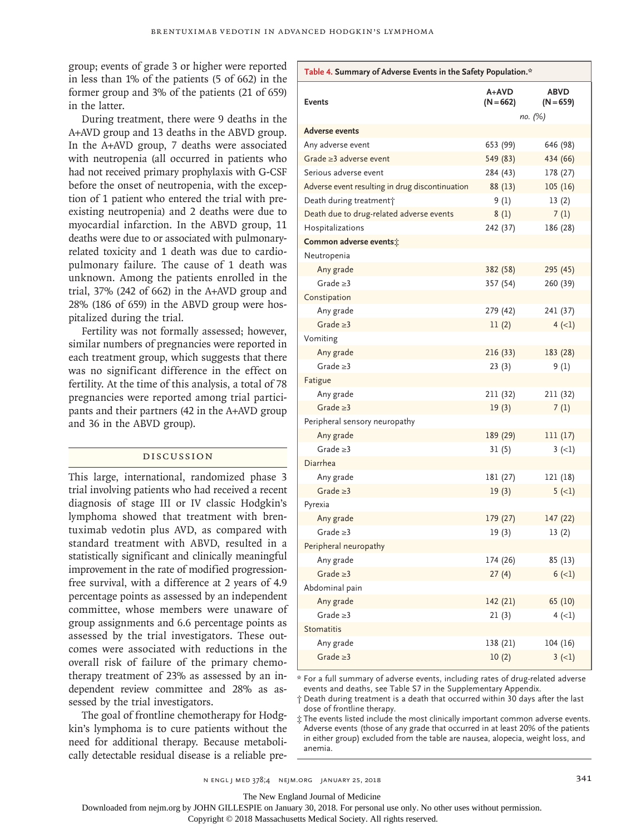group; events of grade 3 or higher were reported in less than 1% of the patients (5 of 662) in the former group and 3% of the patients (21 of 659) in the latter.

During treatment, there were 9 deaths in the A+AVD group and 13 deaths in the ABVD group. In the A+AVD group, 7 deaths were associated with neutropenia (all occurred in patients who had not received primary prophylaxis with G-CSF before the onset of neutropenia, with the exception of 1 patient who entered the trial with preexisting neutropenia) and 2 deaths were due to myocardial infarction. In the ABVD group, 11 deaths were due to or associated with pulmonaryrelated toxicity and 1 death was due to cardiopulmonary failure. The cause of 1 death was unknown. Among the patients enrolled in the trial, 37% (242 of 662) in the A+AVD group and 28% (186 of 659) in the ABVD group were hospitalized during the trial.

Fertility was not formally assessed; however, similar numbers of pregnancies were reported in each treatment group, which suggests that there was no significant difference in the effect on fertility. At the time of this analysis, a total of 78 pregnancies were reported among trial participants and their partners (42 in the A+AVD group and 36 in the ABVD group).

#### Discussion

This large, international, randomized phase 3 trial involving patients who had received a recent diagnosis of stage III or IV classic Hodgkin's lymphoma showed that treatment with brentuximab vedotin plus AVD, as compared with standard treatment with ABVD, resulted in a statistically significant and clinically meaningful improvement in the rate of modified progressionfree survival, with a difference at 2 years of 4.9 percentage points as assessed by an independent committee, whose members were unaware of group assignments and 6.6 percentage points as assessed by the trial investigators. These outcomes were associated with reductions in the overall risk of failure of the primary chemotherapy treatment of 23% as assessed by an independent review committee and 28% as assessed by the trial investigators.

The goal of frontline chemotherapy for Hodgkin's lymphoma is to cure patients without the need for additional therapy. Because metabolically detectable residual disease is a reliable pre-

| Table 4. Summary of Adverse Events in the Safety Population.* |                    |                            |  |  |  |
|---------------------------------------------------------------|--------------------|----------------------------|--|--|--|
| <b>Events</b>                                                 | A+AVD<br>(N = 662) | <b>ABVD</b><br>$(N = 659)$ |  |  |  |
|                                                               |                    | по. (%)                    |  |  |  |
| <b>Adverse events</b>                                         |                    |                            |  |  |  |
| Any adverse event                                             | 653 (99)           | 646 (98)                   |  |  |  |
| Grade $\geq$ 3 adverse event                                  | 549 (83)           | 434 (66)                   |  |  |  |
| Serious adverse event                                         | 284 (43)           | 178 (27)                   |  |  |  |
| Adverse event resulting in drug discontinuation               | 88 (13)            | 105(16)                    |  |  |  |
| Death during treatment <sup>+</sup>                           | 9(1)               | 13(2)                      |  |  |  |
| Death due to drug-related adverse events                      | 8(1)               | 7(1)                       |  |  |  |
| Hospitalizations                                              | 242 (37)           | 186 (28)                   |  |  |  |
| Common adverse events:                                        |                    |                            |  |  |  |
| Neutropenia                                                   |                    |                            |  |  |  |
| Any grade                                                     | 382 (58)           | 295 (45)                   |  |  |  |
| Grade $\geq$ 3                                                | 357 (54)           | 260 (39)                   |  |  |  |
| Constipation                                                  |                    |                            |  |  |  |
| Any grade                                                     | 279 (42)           | 241 (37)                   |  |  |  |
| Grade $\geq$ 3                                                | 11(2)              | $4 (-1)$                   |  |  |  |
| Vomiting                                                      |                    |                            |  |  |  |
| Any grade                                                     | 216(33)            | 183 (28)                   |  |  |  |
| Grade $\geq$ 3                                                | 23(3)              | 9(1)                       |  |  |  |
| Fatigue                                                       |                    |                            |  |  |  |
| Any grade                                                     | 211 (32)           | 211 (32)                   |  |  |  |
| Grade $\geq$ 3                                                | 19(3)              | 7(1)                       |  |  |  |
| Peripheral sensory neuropathy                                 |                    |                            |  |  |  |
| Any grade                                                     | 189 (29)           | 111(17)                    |  |  |  |
| Grade $\geq$ 3                                                | 31(5)              | $3(-1)$                    |  |  |  |
| <b>Diarrhea</b>                                               |                    |                            |  |  |  |
| Any grade                                                     | 181 (27)           | 121 (18)                   |  |  |  |
| Grade $\geq$ 3                                                | 19(3)              | $5 (-1)$                   |  |  |  |
| Pyrexia                                                       |                    |                            |  |  |  |
| Any grade                                                     | 179 (27)           | 147 (22)                   |  |  |  |
| Grade $\geq$ 3                                                | 19(3)              | 13(2)                      |  |  |  |
| Peripheral neuropathy                                         |                    |                            |  |  |  |
| Any grade                                                     | 174 (26)           | 85 (13)                    |  |  |  |
| Grade $\geq 3$                                                | 27(4)              | $6 (-1)$                   |  |  |  |
| Abdominal pain                                                |                    |                            |  |  |  |
| Any grade                                                     | 142 (21)           | 65 (10)                    |  |  |  |
| Grade $\geq$ 3                                                | 21(3)              | $4 (-1)$                   |  |  |  |
| Stomatitis                                                    |                    |                            |  |  |  |
| Any grade                                                     | 138 (21)           | 104 (16)                   |  |  |  |
| Grade $\geq$ 3                                                | 10(2)              | $3 (-1)$                   |  |  |  |

\* For a full summary of adverse events, including rates of drug-related adverse events and deaths, see Table S7 in the Supplementary Appendix.

† Death during treatment is a death that occurred within 30 days after the last dose of frontline therapy.

‡ The events listed include the most clinically important common adverse events. Adverse events (those of any grade that occurred in at least 20% of the patients in either group) excluded from the table are nausea, alopecia, weight loss, and anemia.

n engl j med 378;4 nejm.org January 25, 2018 341

The New England Journal of Medicine

Downloaded from nejm.org by JOHN GILLESPIE on January 30, 2018. For personal use only. No other uses without permission.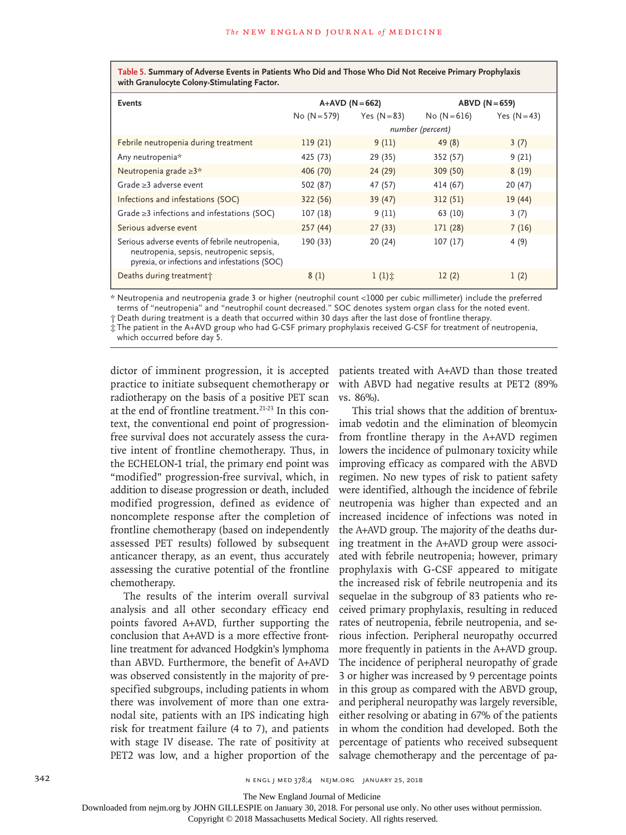**Table 5. Summary of Adverse Events in Patients Who Did and Those Who Did Not Receive Primary Prophylaxis with Granulocyte Colony-Stimulating Factor.**

| <b>Events</b>                                                                                                                               | $A+AVD (N=662)$  |                   |              | $ABVD (N=659)$ |  |
|---------------------------------------------------------------------------------------------------------------------------------------------|------------------|-------------------|--------------|----------------|--|
|                                                                                                                                             | $No (N = 579)$   | Yes $(N=83)$      | No $(N=616)$ | Yes $(N=43)$   |  |
|                                                                                                                                             | number (percent) |                   |              |                |  |
| Febrile neutropenia during treatment                                                                                                        | 119(21)          | 9(11)             | 49(8)        | 3(7)           |  |
| Any neutropenia*                                                                                                                            | 425 (73)         | 29 (35)           | 352 (57)     | 9(21)          |  |
| Neutropenia grade $\geq 3^*$                                                                                                                | 406 (70)         | 24 (29)           | 309 (50)     | 8(19)          |  |
| Grade $\geq$ 3 adverse event                                                                                                                | 502 (87)         | 47 (57)           | 414 (67)     | 20(47)         |  |
| Infections and infestations (SOC)                                                                                                           | 322 (56)         | 39 (47)           | 312(51)      | 19(44)         |  |
| Grade $\geq$ 3 infections and infestations (SOC)                                                                                            | 107(18)          | 9(11)             | 63 (10)      | 3(7)           |  |
| Serious adverse event                                                                                                                       | 257(44)          | 27(33)            | 171 (28)     | 7(16)          |  |
| Serious adverse events of febrile neutropenia,<br>neutropenia, sepsis, neutropenic sepsis,<br>pyrexia, or infections and infestations (SOC) | 190 (33)         | 20(24)            | 107(17)      | 4(9)           |  |
| Deaths during treatment                                                                                                                     | 8(1)             | $1(1)$ $\ddot{x}$ | 12(2)        | 1(2)           |  |

\* Neutropenia and neutropenia grade 3 or higher (neutrophil count <1000 per cubic millimeter) include the preferred terms of "neutropenia" and "neutrophil count decreased." SOC denotes system organ class for the noted event.

† Death during treatment is a death that occurred within 30 days after the last dose of frontline therapy.

‡ The patient in the A+AVD group who had G-CSF primary prophylaxis received G-CSF for treatment of neutropenia, which occurred before day 5.

dictor of imminent progression, it is accepted practice to initiate subsequent chemotherapy or radiotherapy on the basis of a positive PET scan at the end of frontline treatment.<sup>21-23</sup> In this context, the conventional end point of progressionfree survival does not accurately assess the curative intent of frontline chemotherapy. Thus, in the ECHELON-1 trial, the primary end point was "modified" progression-free survival, which, in addition to disease progression or death, included modified progression, defined as evidence of noncomplete response after the completion of frontline chemotherapy (based on independently assessed PET results) followed by subsequent anticancer therapy, as an event, thus accurately assessing the curative potential of the frontline chemotherapy.

The results of the interim overall survival analysis and all other secondary efficacy end points favored A+AVD, further supporting the conclusion that A+AVD is a more effective frontline treatment for advanced Hodgkin's lymphoma than ABVD. Furthermore, the benefit of A+AVD was observed consistently in the majority of prespecified subgroups, including patients in whom there was involvement of more than one extranodal site, patients with an IPS indicating high risk for treatment failure (4 to 7), and patients with stage IV disease. The rate of positivity at PET2 was low, and a higher proportion of the

patients treated with A+AVD than those treated with ABVD had negative results at PET2 (89% vs. 86%).

This trial shows that the addition of brentuximab vedotin and the elimination of bleomycin from frontline therapy in the A+AVD regimen lowers the incidence of pulmonary toxicity while improving efficacy as compared with the ABVD regimen. No new types of risk to patient safety were identified, although the incidence of febrile neutropenia was higher than expected and an increased incidence of infections was noted in the A+AVD group. The majority of the deaths during treatment in the A+AVD group were associated with febrile neutropenia; however, primary prophylaxis with G-CSF appeared to mitigate the increased risk of febrile neutropenia and its sequelae in the subgroup of 83 patients who received primary prophylaxis, resulting in reduced rates of neutropenia, febrile neutropenia, and serious infection. Peripheral neuropathy occurred more frequently in patients in the A+AVD group. The incidence of peripheral neuropathy of grade 3 or higher was increased by 9 percentage points in this group as compared with the ABVD group, and peripheral neuropathy was largely reversible, either resolving or abating in 67% of the patients in whom the condition had developed. Both the percentage of patients who received subsequent salvage chemotherapy and the percentage of pa-

The New England Journal of Medicine

Downloaded from nejm.org by JOHN GILLESPIE on January 30, 2018. For personal use only. No other uses without permission.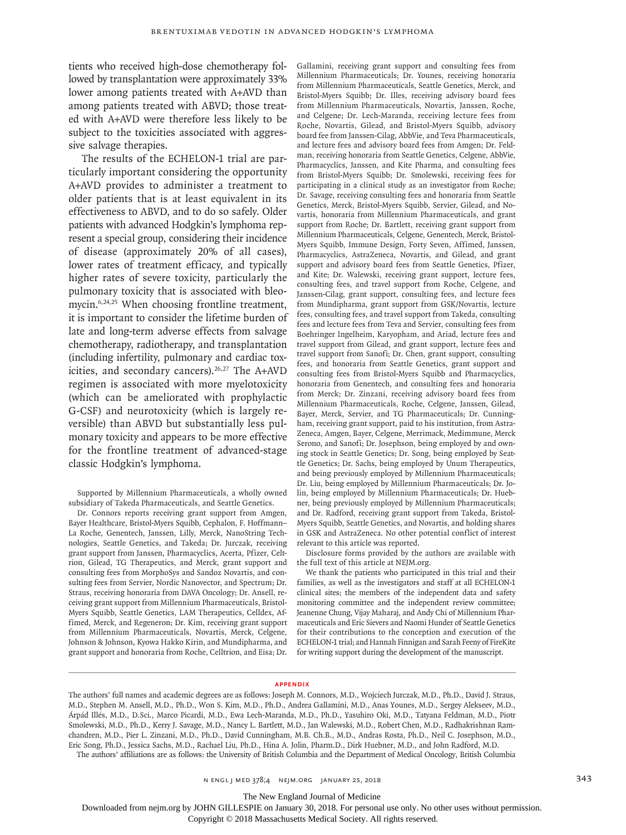tients who received high-dose chemotherapy followed by transplantation were approximately 33% lower among patients treated with A+AVD than among patients treated with ABVD; those treated with A+AVD were therefore less likely to be subject to the toxicities associated with aggressive salvage therapies.

The results of the ECHELON-1 trial are particularly important considering the opportunity A+AVD provides to administer a treatment to older patients that is at least equivalent in its effectiveness to ABVD, and to do so safely. Older patients with advanced Hodgkin's lymphoma represent a special group, considering their incidence of disease (approximately 20% of all cases), lower rates of treatment efficacy, and typically higher rates of severe toxicity, particularly the pulmonary toxicity that is associated with bleomycin.<sup>6,24,25</sup> When choosing frontline treatment, it is important to consider the lifetime burden of late and long-term adverse effects from salvage chemotherapy, radiotherapy, and transplantation (including infertility, pulmonary and cardiac toxicities, and secondary cancers).<sup>26,27</sup> The A+AVD regimen is associated with more myelotoxicity (which can be ameliorated with prophylactic G-CSF) and neurotoxicity (which is largely reversible) than ABVD but substantially less pulmonary toxicity and appears to be more effective for the frontline treatment of advanced-stage classic Hodgkin's lymphoma.

Supported by Millennium Pharmaceuticals, a wholly owned subsidiary of Takeda Pharmaceuticals, and Seattle Genetics.

Dr. Connors reports receiving grant support from Amgen, Bayer Healthcare, Bristol-Myers Squibb, Cephalon, F. Hoffmann– La Roche, Genentech, Janssen, Lilly, Merck, NanoString Technologies, Seattle Genetics, and Takeda; Dr. Jurczak, receiving grant support from Janssen, Pharmacyclics, Acerta, Pfizer, Celtrion, Gilead, TG Therapeutics, and Merck, grant support and consulting fees from MorphoSys and Sandoz Novartis, and consulting fees from Servier, Nordic Nanovector, and Spectrum; Dr. Straus, receiving honoraria from DAVA Oncology; Dr. Ansell, receiving grant support from Millennium Pharmaceuticals, Bristol-Myers Squibb, Seattle Genetics, LAM Therapeutics, Celldex, Affimed, Merck, and Regeneron; Dr. Kim, receiving grant support from Millennium Pharmaceuticals, Novartis, Merck, Celgene, Johnson & Johnson, Kyowa Hakko Kirin, and Mundipharma, and grant support and honoraria from Roche, Celltrion, and Eisa; Dr. Gallamini, receiving grant support and consulting fees from Millennium Pharmaceuticals; Dr. Younes, receiving honoraria from Millennium Pharmaceuticals, Seattle Genetics, Merck, and Bristol-Myers Squibb; Dr. Illes, receiving advisory board fees from Millennium Pharmaceuticals, Novartis, Janssen, Roche, and Celgene; Dr. Lech-Maranda, receiving lecture fees from Roche, Novartis, Gilead, and Bristol-Myers Squibb, advisory board fee from Janssen-Cilag, AbbVie, and Teva Pharmaceuticals, and lecture fees and advisory board fees from Amgen; Dr. Feldman, receiving honoraria from Seattle Genetics, Celgene, AbbVie, Pharmacyclics, Janssen, and Kite Pharma, and consulting fees from Bristol-Myers Squibb; Dr. Smolewski, receiving fees for participating in a clinical study as an investigator from Roche; Dr. Savage, receiving consulting fees and honoraria from Seattle Genetics, Merck, Bristol-Myers Squibb, Servier, Gilead, and Novartis, honoraria from Millennium Pharmaceuticals, and grant support from Roche; Dr. Bartlett, receiving grant support from Millennium Pharmaceuticals, Celgene, Genentech, Merck, Bristol-Myers Squibb, Immune Design, Forty Seven, Affimed, Janssen, Pharmacyclics, AstraZeneca, Novartis, and Gilead, and grant support and advisory board fees from Seattle Genetics, Pfizer, and Kite; Dr. Walewski, receiving grant support, lecture fees, consulting fees, and travel support from Roche, Celgene, and Janssen-Cilag, grant support, consulting fees, and lecture fees from Mundipharma, grant support from GSK/Novartis, lecture fees, consulting fees, and travel support from Takeda, consulting fees and lecture fees from Teva and Servier, consulting fees from Boehringer Ingelheim, Karyopham, and Ariad, lecture fees and travel support from Gilead, and grant support, lecture fees and travel support from Sanofi; Dr. Chen, grant support, consulting fees, and honoraria from Seattle Genetics, grant support and consulting fees from Bristol-Myers Squibb and Pharmacyclics, honoraria from Genentech, and consulting fees and honoraria from Merck; Dr. Zinzani, receiving advisory board fees from Millennium Pharmaceuticals, Roche, Celgene, Janssen, Gilead, Bayer, Merck, Servier, and TG Pharmaceuticals; Dr. Cunningham, receiving grant support, paid to his institution, from Astra-Zeneca, Amgen, Bayer, Celgene, Merrimack, Medimmune, Merck Serono, and Sanofi; Dr. Josephson, being employed by and owning stock in Seattle Genetics; Dr. Song, being employed by Seattle Genetics; Dr. Sachs, being employed by Unum Therapeutics, and being previously employed by Millennium Pharmaceuticals; Dr. Liu, being employed by Millennium Pharmaceuticals; Dr. Jolin, being employed by Millennium Pharmaceuticals; Dr. Huebner, being previously employed by Millennium Pharmaceuticals; and Dr. Radford, receiving grant support from Takeda, Bristol-Myers Squibb, Seattle Genetics, and Novartis, and holding shares in GSK and AstraZeneca. No other potential conflict of interest relevant to this article was reported.

Disclosure forms provided by the authors are available with the full text of this article at NEJM.org.

We thank the patients who participated in this trial and their families, as well as the investigators and staff at all ECHELON-1 clinical sites; the members of the independent data and safety monitoring committee and the independent review committee; Jeanenne Chung, Vijay Maharaj, and Andy Chi of Millennium Pharmaceuticals and Eric Sievers and Naomi Hunder of Seattle Genetics for their contributions to the conception and execution of the ECHELON-1 trial; and Hannah Finnigan and Sarah Feeny of FireKite for writing support during the development of the manuscript.

#### **Appendix**

The authors' full names and academic degrees are as follows: Joseph M. Connors, M.D., Wojciech Jurczak, M.D., Ph.D., David J. Straus, M.D., Stephen M. Ansell, M.D., Ph.D., Won S. Kim, M.D., Ph.D., Andrea Gallamini, M.D., Anas Younes, M.D., Sergey Alekseev, M.D., Árpád Illés, M.D., D.Sci., Marco Picardi, M.D., Ewa Lech-Maranda, M.D., Ph.D., Yasuhiro Oki, M.D., Tatyana Feldman, M.D., Piotr Smolewski, M.D., Ph.D., Kerry J. Savage, M.D., Nancy L. Bartlett, M.D., Jan Walewski, M.D., Robert Chen, M.D., Radhakrishnan Ramchandren, M.D., Pier L. Zinzani, M.D., Ph.D., David Cunningham, M.B. Ch.B., M.D., Andras Rosta, Ph.D., Neil C. Josephson, M.D., Eric Song, Ph.D., Jessica Sachs, M.D., Rachael Liu, Ph.D., Hina A. Jolin, Pharm.D., Dirk Huebner, M.D., and John Radford, M.D.

The authors' affiliations are as follows: the University of British Columbia and the Department of Medical Oncology, British Columbia

The New England Journal of Medicine

Downloaded from nejm.org by JOHN GILLESPIE on January 30, 2018. For personal use only. No other uses without permission.